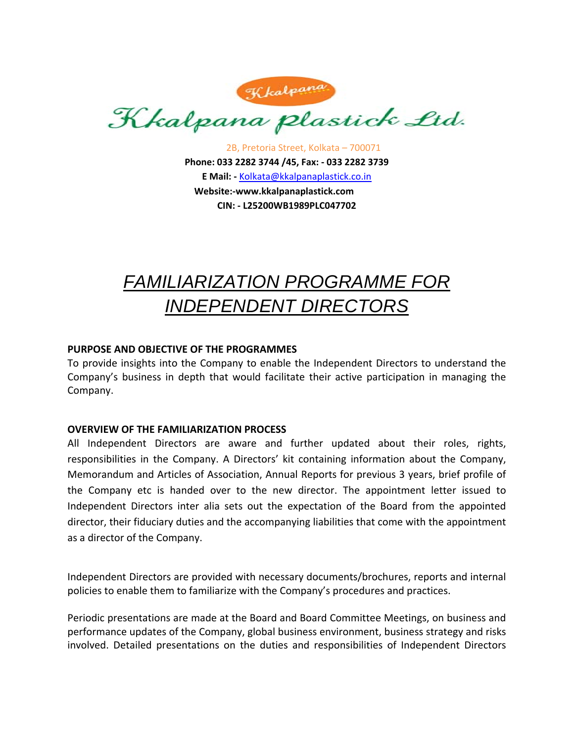

2B, Pretoria Street, Kolkata – 700071 **Phone: 033 2282 3744 /45, Fax: ‐ 033 2282 3739 E Mail: ‐** Kolkata@kkalpanaplastick.co.in **Website:‐www.kkalpanaplastick.com CIN: ‐ L25200WB1989PLC047702**

## *FAMILIARIZATION PROGRAMME FOR INDEPENDENT DIRECTORS*

## **PURPOSE AND OBJECTIVE OF THE PROGRAMMES**

To provide insights into the Company to enable the Independent Directors to understand the Company's business in depth that would facilitate their active participation in managing the Company.

## **OVERVIEW OF THE FAMILIARIZATION PROCESS**

All Independent Directors are aware and further updated about their roles, rights, responsibilities in the Company. A Directors' kit containing information about the Company, Memorandum and Articles of Association, Annual Reports for previous 3 years, brief profile of the Company etc is handed over to the new director. The appointment letter issued to Independent Directors inter alia sets out the expectation of the Board from the appointed director, their fiduciary duties and the accompanying liabilities that come with the appointment as a director of the Company.

Independent Directors are provided with necessary documents/brochures, reports and internal policies to enable them to familiarize with the Company's procedures and practices.

Periodic presentations are made at the Board and Board Committee Meetings, on business and performance updates of the Company, global business environment, business strategy and risks involved. Detailed presentations on the duties and responsibilities of Independent Directors